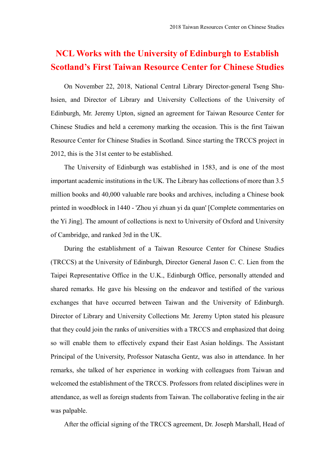## **NCL Works with the University of Edinburgh to Establish Scotland's First Taiwan Resource Center for Chinese Studies**

On November 22, 2018, National Central Library Director-general Tseng Shuhsien, and Director of Library and University Collections of the University of Edinburgh, Mr. Jeremy Upton, signed an agreement for Taiwan Resource Center for Chinese Studies and held a ceremony marking the occasion. This is the first Taiwan Resource Center for Chinese Studies in Scotland. Since starting the TRCCS project in 2012, this is the 31st center to be established.

The University of Edinburgh was established in 1583, and is one of the most important academic institutions in the UK. The Library has collections of more than 3.5 million books and 40,000 valuable rare books and archives, including a Chinese book printed in woodblock in 1440 - 'Zhou yi zhuan yi da quan' [Complete commentaries on the Yi Jing]. The amount of collections is next to University of Oxford and University of Cambridge, and ranked 3rd in the UK.

During the establishment of a Taiwan Resource Center for Chinese Studies (TRCCS) at the University of Edinburgh, Director General Jason C. C. Lien from the Taipei Representative Office in the U.K., Edinburgh Office, personally attended and shared remarks. He gave his blessing on the endeavor and testified of the various exchanges that have occurred between Taiwan and the University of Edinburgh. Director of Library and University Collections Mr. Jeremy Upton stated his pleasure that they could join the ranks of universities with a TRCCS and emphasized that doing so will enable them to effectively expand their East Asian holdings. The Assistant Principal of the University, Professor Natascha Gentz, was also in attendance. In her remarks, she talked of her experience in working with colleagues from Taiwan and welcomed the establishment of the TRCCS. Professors from related disciplines were in attendance, as well as foreign students from Taiwan. The collaborative feeling in the air was palpable.

After the official signing of the TRCCS agreement, Dr. Joseph Marshall, Head of